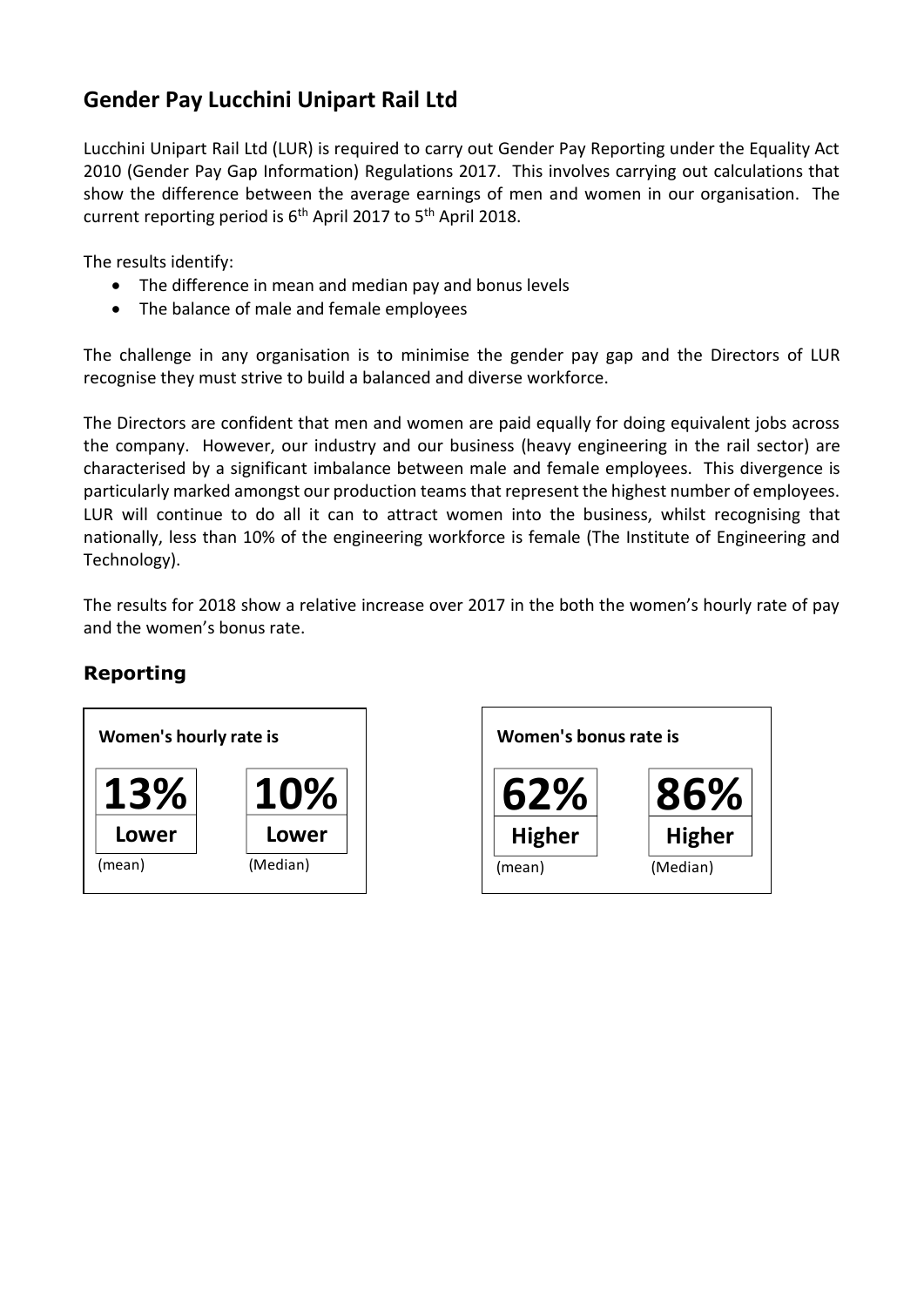## **Gender Pay Lucchini Unipart Rail Ltd**

Lucchini Unipart Rail Ltd (LUR) is required to carry out Gender Pay Reporting under the Equality Act 2010 (Gender Pay Gap Information) Regulations 2017. This involves carrying out calculations that show the difference between the average earnings of men and women in our organisation. The current reporting period is 6<sup>th</sup> April 2017 to 5<sup>th</sup> April 2018.

The results identify:

- The difference in mean and median pay and bonus levels
- The balance of male and female employees

The challenge in any organisation is to minimise the gender pay gap and the Directors of LUR recognise they must strive to build a balanced and diverse workforce.

The Directors are confident that men and women are paid equally for doing equivalent jobs across the company. However, our industry and our business (heavy engineering in the rail sector) are characterised by a significant imbalance between male and female employees. This divergence is particularly marked amongst our production teams that represent the highest number of employees. LUR will continue to do all it can to attract women into the business, whilst recognising that nationally, less than 10% of the engineering workforce is female (The Institute of Engineering and Technology).

The results for 2018 show a relative increase over 2017 in the both the women's hourly rate of pay and the women's bonus rate.

## **Reporting**